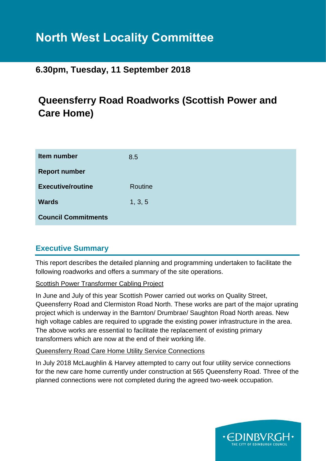# **North West Locality Committee**

# **6.30pm, Tuesday, 11 September 2018**

# **Queensferry Road Roadworks (Scottish Power and Care Home)**

| Item number                | 8.5     |
|----------------------------|---------|
| <b>Report number</b>       |         |
| <b>Executive/routine</b>   | Routine |
| <b>Wards</b>               | 1, 3, 5 |
| <b>Council Commitments</b> |         |

# **Executive Summary**

This report describes the detailed planning and programming undertaken to facilitate the following roadworks and offers a summary of the site operations.

#### Scottish Power Transformer Cabling Project

In June and July of this year Scottish Power carried out works on Quality Street, Queensferry Road and Clermiston Road North. These works are part of the major uprating project which is underway in the Barnton/ Drumbrae/ Saughton Road North areas. New high voltage cables are required to upgrade the existing power infrastructure in the area. The above works are essential to facilitate the replacement of existing primary transformers which are now at the end of their working life.

#### Queensferry Road Care Home Utility Service Connections

In July 2018 McLaughlin & Harvey attempted to carry out four utility service connections for the new care home currently under construction at 565 Queensferry Road. Three of the planned connections were not completed during the agreed two-week occupation.

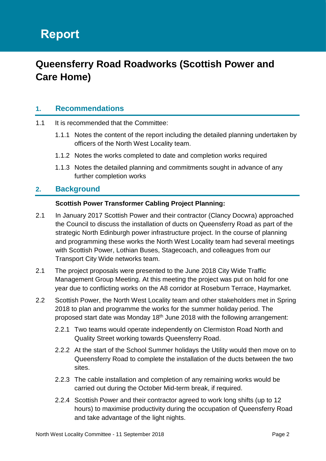# **Queensferry Road Roadworks (Scottish Power and Care Home)**

# **1. Recommendations**

- 1.1 It is recommended that the Committee:
	- 1.1.1 Notes the content of the report including the detailed planning undertaken by officers of the North West Locality team.
	- 1.1.2 Notes the works completed to date and completion works required
	- 1.1.3 Notes the detailed planning and commitments sought in advance of any further completion works

#### **2. Background**

#### **Scottish Power Transformer Cabling Project Planning:**

- 2.1 In January 2017 Scottish Power and their contractor (Clancy Docwra) approached the Council to discuss the installation of ducts on Queensferry Road as part of the strategic North Edinburgh power infrastructure project. In the course of planning and programming these works the North West Locality team had several meetings with Scottish Power, Lothian Buses, Stagecoach, and colleagues from our Transport City Wide networks team.
- 2.1 The project proposals were presented to the June 2018 City Wide Traffic Management Group Meeting. At this meeting the project was put on hold for one year due to conflicting works on the A8 corridor at Roseburn Terrace, Haymarket.
- 2.2 Scottish Power, the North West Locality team and other stakeholders met in Spring 2018 to plan and programme the works for the summer holiday period. The proposed start date was Monday 18th June 2018 with the following arrangement:
	- 2.2.1 Two teams would operate independently on Clermiston Road North and Quality Street working towards Queensferry Road.
	- 2.2.2 At the start of the School Summer holidays the Utility would then move on to Queensferry Road to complete the installation of the ducts between the two sites.
	- 2.2.3 The cable installation and completion of any remaining works would be carried out during the October Mid-term break, if required.
	- 2.2.4 Scottish Power and their contractor agreed to work long shifts (up to 12 hours) to maximise productivity during the occupation of Queensferry Road and take advantage of the light nights.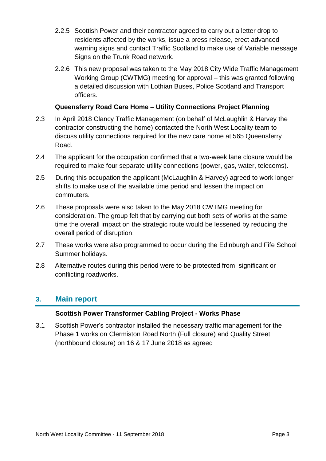- 2.2.5 Scottish Power and their contractor agreed to carry out a letter drop to residents affected by the works, issue a press release, erect advanced warning signs and contact Traffic Scotland to make use of Variable message Signs on the Trunk Road network.
- 2.2.6 This new proposal was taken to the May 2018 City Wide Traffic Management Working Group (CWTMG) meeting for approval – this was granted following a detailed discussion with Lothian Buses, Police Scotland and Transport officers.

#### **Queensferry Road Care Home – Utility Connections Project Planning**

- 2.3 In April 2018 Clancy Traffic Management (on behalf of McLaughlin & Harvey the contractor constructing the home) contacted the North West Locality team to discuss utility connections required for the new care home at 565 Queensferry Road.
- 2.4 The applicant for the occupation confirmed that a two-week lane closure would be required to make four separate utility connections (power, gas, water, telecoms).
- 2.5 During this occupation the applicant (McLaughlin & Harvey) agreed to work longer shifts to make use of the available time period and lessen the impact on commuters.
- 2.6 These proposals were also taken to the May 2018 CWTMG meeting for consideration. The group felt that by carrying out both sets of works at the same time the overall impact on the strategic route would be lessened by reducing the overall period of disruption.
- 2.7 These works were also programmed to occur during the Edinburgh and Fife School Summer holidays.
- 2.8 Alternative routes during this period were to be protected from significant or conflicting roadworks.

### **3. Main report**

#### **Scottish Power Transformer Cabling Project - Works Phase**

3.1 Scottish Power's contractor installed the necessary traffic management for the Phase 1 works on Clermiston Road North (Full closure) and Quality Street (northbound closure) on 16 & 17 June 2018 as agreed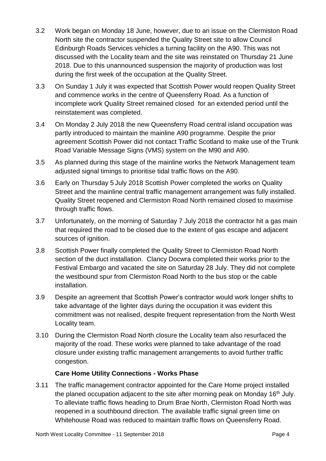- 3.2 Work began on Monday 18 June, however, due to an issue on the Clermiston Road North site the contractor suspended the Quality Street site to allow Council Edinburgh Roads Services vehicles a turning facility on the A90. This was not discussed with the Locality team and the site was reinstated on Thursday 21 June 2018. Due to this unannounced suspension the majority of production was lost during the first week of the occupation at the Quality Street.
- 3.3 On Sunday 1 July it was expected that Scottish Power would reopen Quality Street and commence works in the centre of Queensferry Road. As a function of incomplete work Quality Street remained closed for an extended period until the reinstatement was completed.
- 3.4 On Monday 2 July 2018 the new Queensferry Road central island occupation was partly introduced to maintain the mainline A90 programme. Despite the prior agreement Scottish Power did not contact Traffic Scotland to make use of the Trunk Road Variable Message Signs (VMS) system on the M90 and A90.
- 3.5 As planned during this stage of the mainline works the Network Management team adjusted signal timings to prioritise tidal traffic flows on the A90.
- 3.6 Early on Thursday 5 July 2018 Scottish Power completed the works on Quality Street and the mainline central traffic management arrangement was fully installed. Quality Street reopened and Clermiston Road North remained closed to maximise through traffic flows.
- 3.7 Unfortunately, on the morning of Saturday 7 July 2018 the contractor hit a gas main that required the road to be closed due to the extent of gas escape and adjacent sources of ignition.
- 3.8 Scottish Power finally completed the Quality Street to Clermiston Road North section of the duct installation. Clancy Docwra completed their works prior to the Festival Embargo and vacated the site on Saturday 28 July. They did not complete the westbound spur from Clermiston Road North to the bus stop or the cable installation.
- 3.9 Despite an agreement that Scottish Power's contractor would work longer shifts to take advantage of the lighter days during the occupation it was evident this commitment was not realised, despite frequent representation from the North West Locality team.
- 3.10 During the Clermiston Road North closure the Locality team also resurfaced the majority of the road. These works were planned to take advantage of the road closure under existing traffic management arrangements to avoid further traffic congestion.

#### **Care Home Utility Connections - Works Phase**

3.11 The traffic management contractor appointed for the Care Home project installed the planed occupation adjacent to the site after morning peak on Monday 16<sup>th</sup> July. To alleviate traffic flows heading to Drum Brae North, Clermiston Road North was reopened in a southbound direction. The available traffic signal green time on Whitehouse Road was reduced to maintain traffic flows on Queensferry Road.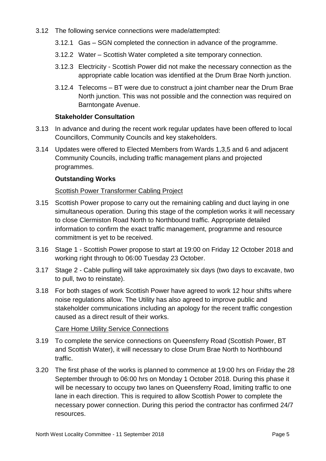- 3.12 The following service connections were made/attempted:
	- 3.12.1 Gas SGN completed the connection in advance of the programme.
	- 3.12.2 Water Scottish Water completed a site temporary connection.
	- 3.12.3 Electricity Scottish Power did not make the necessary connection as the appropriate cable location was identified at the Drum Brae North junction.
	- 3.12.4 Telecoms BT were due to construct a joint chamber near the Drum Brae North junction. This was not possible and the connection was required on Barntongate Avenue.

#### **Stakeholder Consultation**

- 3.13 In advance and during the recent work regular updates have been offered to local Councillors, Community Councils and key stakeholders.
- 3.14 Updates were offered to Elected Members from Wards 1,3,5 and 6 and adjacent Community Councils, including traffic management plans and projected programmes.

#### **Outstanding Works**

#### Scottish Power Transformer Cabling Project

- 3.15 Scottish Power propose to carry out the remaining cabling and duct laying in one simultaneous operation. During this stage of the completion works it will necessary to close Clermiston Road North to Northbound traffic. Appropriate detailed information to confirm the exact traffic management, programme and resource commitment is yet to be received.
- 3.16 Stage 1 Scottish Power propose to start at 19:00 on Friday 12 October 2018 and working right through to 06:00 Tuesday 23 October.
- 3.17 Stage 2 Cable pulling will take approximately six days (two days to excavate, two to pull, two to reinstate).
- 3.18 For both stages of work Scottish Power have agreed to work 12 hour shifts where noise regulations allow. The Utility has also agreed to improve public and stakeholder communications including an apology for the recent traffic congestion caused as a direct result of their works.

#### Care Home Utility Service Connections

- 3.19 To complete the service connections on Queensferry Road (Scottish Power, BT and Scottish Water), it will necessary to close Drum Brae North to Northbound traffic.
- 3.20 The first phase of the works is planned to commence at 19:00 hrs on Friday the 28 September through to 06:00 hrs on Monday 1 October 2018. During this phase it will be necessary to occupy two lanes on Queensferry Road, limiting traffic to one lane in each direction. This is required to allow Scottish Power to complete the necessary power connection. During this period the contractor has confirmed 24/7 resources.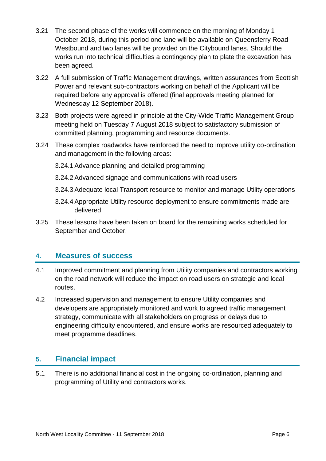- 3.21 The second phase of the works will commence on the morning of Monday 1 October 2018, during this period one lane will be available on Queensferry Road Westbound and two lanes will be provided on the Citybound lanes. Should the works run into technical difficulties a contingency plan to plate the excavation has been agreed.
- 3.22 A full submission of Traffic Management drawings, written assurances from Scottish Power and relevant sub-contractors working on behalf of the Applicant will be required before any approval is offered (final approvals meeting planned for Wednesday 12 September 2018).
- 3.23 Both projects were agreed in principle at the City-Wide Traffic Management Group meeting held on Tuesday 7 August 2018 subject to satisfactory submission of committed planning, programming and resource documents.
- 3.24 These complex roadworks have reinforced the need to improve utility co-ordination and management in the following areas:
	- 3.24.1 Advance planning and detailed programming
	- 3.24.2 Advanced signage and communications with road users
	- 3.24.3 Adequate local Transport resource to monitor and manage Utility operations
	- 3.24.4 Appropriate Utility resource deployment to ensure commitments made are delivered
- 3.25 These lessons have been taken on board for the remaining works scheduled for September and October.

### **4. Measures of success**

- 4.1 Improved commitment and planning from Utility companies and contractors working on the road network will reduce the impact on road users on strategic and local routes.
- 4.2 Increased supervision and management to ensure Utility companies and developers are appropriately monitored and work to agreed traffic management strategy, communicate with all stakeholders on progress or delays due to engineering difficulty encountered, and ensure works are resourced adequately to meet programme deadlines.

# **5. Financial impact**

5.1 There is no additional financial cost in the ongoing co-ordination, planning and programming of Utility and contractors works.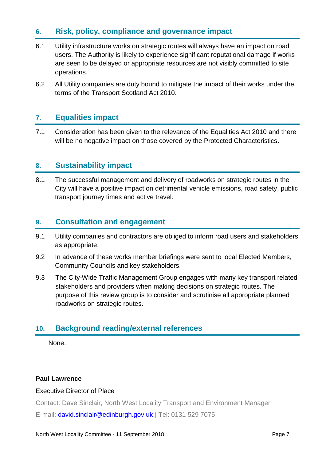# **6. Risk, policy, compliance and governance impact**

- 6.1 Utility infrastructure works on strategic routes will always have an impact on road users. The Authority is likely to experience significant reputational damage if works are seen to be delayed or appropriate resources are not visibly committed to site operations.
- 6.2 All Utility companies are duty bound to mitigate the impact of their works under the terms of the Transport Scotland Act 2010.

## **7. Equalities impact**

7.1 Consideration has been given to the relevance of the Equalities Act 2010 and there will be no negative impact on those covered by the Protected Characteristics.

# **8. Sustainability impact**

8.1 The successful management and delivery of roadworks on strategic routes in the City will have a positive impact on detrimental vehicle emissions, road safety, public transport journey times and active travel.

### **9. Consultation and engagement**

- 9.1 Utility companies and contractors are obliged to inform road users and stakeholders as appropriate.
- 9.2 In advance of these works member briefings were sent to local Elected Members, Community Councils and key stakeholders.
- 9.3 The City-Wide Traffic Management Group engages with many key transport related stakeholders and providers when making decisions on strategic routes. The purpose of this review group is to consider and scrutinise all appropriate planned roadworks on strategic routes.

# **10. Background reading/external references**

None.

#### **Paul Lawrence**

#### Executive Director of Place

Contact: Dave Sinclair, North West Locality Transport and Environment Manager

E-mail: [david.sinclair@edinburgh.gov.uk](mailto:david.sinclair@edinburgh.gov.uk) | Tel: 0131 529 7075